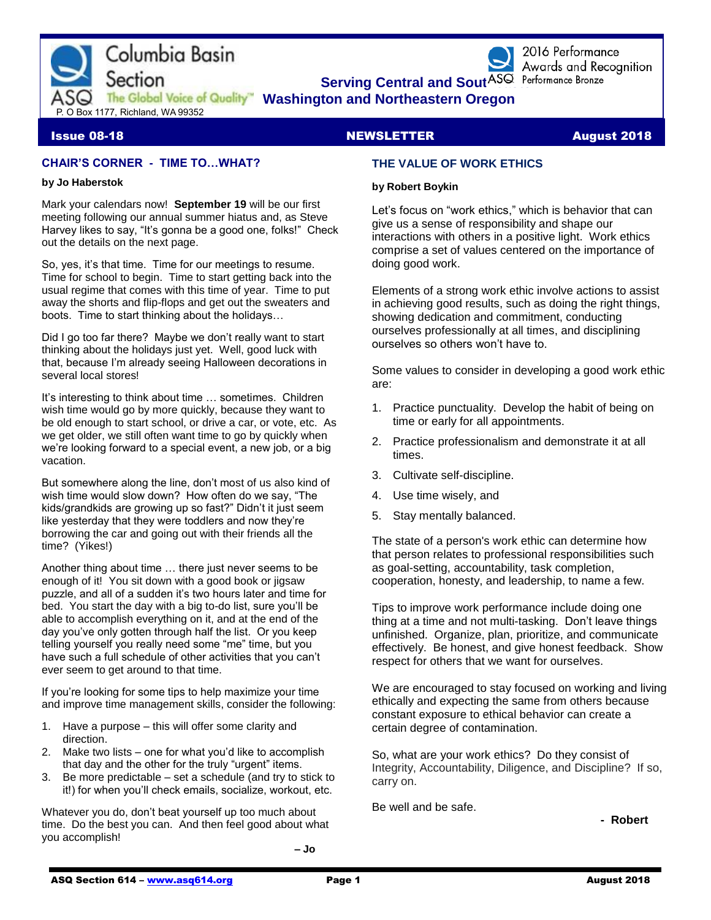

2016 Performance Awards and Recognition

# **Issue 08-18 NEWSLETTER August 2018**

# **CHAIR'S CORNER - TIME TO…WHAT?**

#### **by Jo Haberstok**

Mark your calendars now! **September 19** will be our first meeting following our annual summer hiatus and, as Steve Harvey likes to say, "It's gonna be a good one, folks!" Check out the details on the next page.

So, yes, it's that time. Time for our meetings to resume. Time for school to begin. Time to start getting back into the usual regime that comes with this time of year. Time to put away the shorts and flip-flops and get out the sweaters and boots. Time to start thinking about the holidays…

Did I go too far there? Maybe we don't really want to start thinking about the holidays just yet. Well, good luck with that, because I'm already seeing Halloween decorations in several local stores!

It's interesting to think about time … sometimes. Children wish time would go by more quickly, because they want to be old enough to start school, or drive a car, or vote, etc. As we get older, we still often want time to go by quickly when we're looking forward to a special event, a new job, or a big vacation.

But somewhere along the line, don't most of us also kind of wish time would slow down? How often do we say, "The kids/grandkids are growing up so fast?" Didn't it just seem like yesterday that they were toddlers and now they're borrowing the car and going out with their friends all the time? (Yikes!)

Another thing about time … there just never seems to be enough of it! You sit down with a good book or jigsaw puzzle, and all of a sudden it's two hours later and time for bed. You start the day with a big to-do list, sure you'll be able to accomplish everything on it, and at the end of the day you've only gotten through half the list. Or you keep telling yourself you really need some "me" time, but you have such a full schedule of other activities that you can't ever seem to get around to that time.

If you're looking for some tips to help maximize your time and improve time management skills, consider the following:

- 1. Have a purpose this will offer some clarity and direction.
- 2. Make two lists one for what you'd like to accomplish that day and the other for the truly "urgent" items.
- 3. Be more predictable set a schedule (and try to stick to it!) for when you'll check emails, socialize, workout, etc.

Whatever you do, don't beat yourself up too much about time. Do the best you can. And then feel good about what you accomplish!

 **– Jo**

### **THE VALUE OF WORK ETHICS**

#### **by Robert Boykin**

Let's focus on "work ethics," which is behavior that can give us a sense of responsibility and shape our interactions with others in a positive light. Work ethics comprise a set of values centered on the importance of doing good work.

Elements of a strong work ethic involve actions to assist in achieving good results, such as doing the right things, showing dedication and commitment, conducting ourselves professionally at all times, and disciplining ourselves so others won't have to.

Some values to consider in developing a good work ethic are:

- 1. Practice punctuality. Develop the habit of being on time or early for all appointments.
- 2. Practice professionalism and demonstrate it at all times.
- 3. Cultivate self-discipline.
- 4. Use time wisely, and
- 5. Stay mentally balanced.

The state of a person's work ethic can determine how that person relates to professional responsibilities such as goal-setting, accountability, task completion, cooperation, honesty, and leadership, to name a few.

Tips to improve work performance include doing one thing at a time and not multi-tasking. Don't leave things unfinished. Organize, plan, prioritize, and communicate effectively. Be honest, and give honest feedback. Show respect for others that we want for ourselves.

We are encouraged to stay focused on working and living ethically and expecting the same from others because constant exposure to ethical behavior can create a certain degree of contamination.

So, what are your work ethics? Do they consist of Integrity, Accountability, Diligence, and Discipline? If so, carry on.

Be well and be safe.

**- Robert**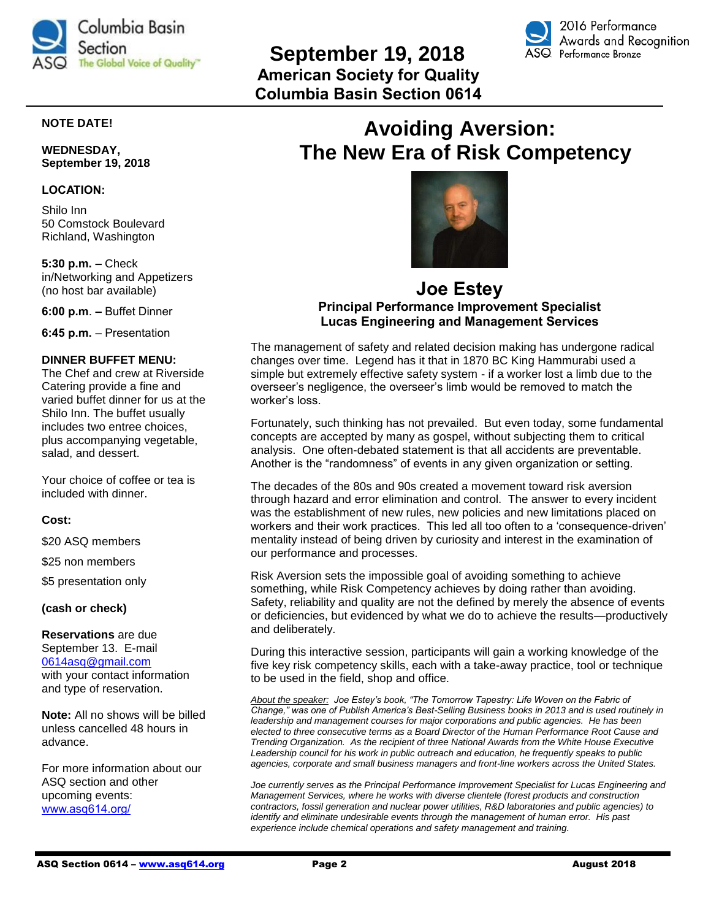



# **NOTE DATE!**

**WEDNESDAY, September 19, 2018**

#### **LOCATION:**

Shilo Inn 50 Comstock Boulevard Richland, Washington

**5:30 p.m. –** Check in/Networking and Appetizers (no host bar available)

**6:00 p.m**. **–** Buffet Dinner

**6:45 p.m.** – Presentation

#### **DINNER BUFFET MENU:**

The Chef and crew at Riverside Catering provide a fine and varied buffet dinner for us at the Shilo Inn. The buffet usually includes two entree choices, plus accompanying vegetable, salad, and dessert.

Your choice of coffee or tea is included with dinner.

#### **Cost:**

\$20 ASQ members

\$25 non members

\$5 presentation only

**(cash or check)**

**Reservations** are due September 13. E-mail [0614asq@gmail.com](file:///G:/ASQ%202018/2018%20Newsletters/Mar%202018%20Newsletter/0614asq@gmail.com) with your contact information and type of reservation.

**Note:** All no shows will be billed unless cancelled 48 hours in advance.

For more information about our ASQ section and other upcoming events: [www.asq614.org/](http://www.asq614.org/)

# **Avoiding Aversion: The New Era of Risk Competency**



# **Joe Estey Principal Performance Improvement Specialist Lucas Engineering and Management Services**

The management of safety and related decision making has undergone radical changes over time. Legend has it that in 1870 BC King Hammurabi used a simple but extremely effective safety system - if a worker lost a limb due to the overseer's negligence, the overseer's limb would be removed to match the worker's loss.

Fortunately, such thinking has not prevailed. But even today, some fundamental concepts are accepted by many as gospel, without subjecting them to critical analysis. One often-debated statement is that all accidents are preventable. Another is the "randomness" of events in any given organization or setting.

The decades of the 80s and 90s created a movement toward risk aversion through hazard and error elimination and control. The answer to every incident was the establishment of new rules, new policies and new limitations placed on workers and their work practices. This led all too often to a 'consequence-driven' mentality instead of being driven by curiosity and interest in the examination of our performance and processes.

Risk Aversion sets the impossible goal of avoiding something to achieve something, while Risk Competency achieves by doing rather than avoiding. Safety, reliability and quality are not the defined by merely the absence of events or deficiencies, but evidenced by what we do to achieve the results—productively and deliberately.

During this interactive session, participants will gain a working knowledge of the five key risk competency skills, each with a take-away practice, tool or technique to be used in the field, shop and office.

*About the speaker: Joe Estey's book, "The Tomorrow Tapestry: Life Woven on the Fabric of Change," was one of Publish America's Best-Selling Business books in 2013 and is used routinely in leadership and management courses for major corporations and public agencies. He has been elected to three consecutive terms as a Board Director of the Human Performance Root Cause and Trending Organization. As the recipient of three National Awards from the White House Executive*  Leadership council for his work in public outreach and education, he frequently speaks to public *agencies, corporate and small business managers and front-line workers across the United States.*

*Joe currently serves as the Principal Performance Improvement Specialist for Lucas Engineering and Management Services, where he works with diverse clientele (forest products and construction contractors, fossil generation and nuclear power utilities, R&D laboratories and public agencies) to identify and eliminate undesirable events through the management of human error. His past experience include chemical operations and safety management and training.*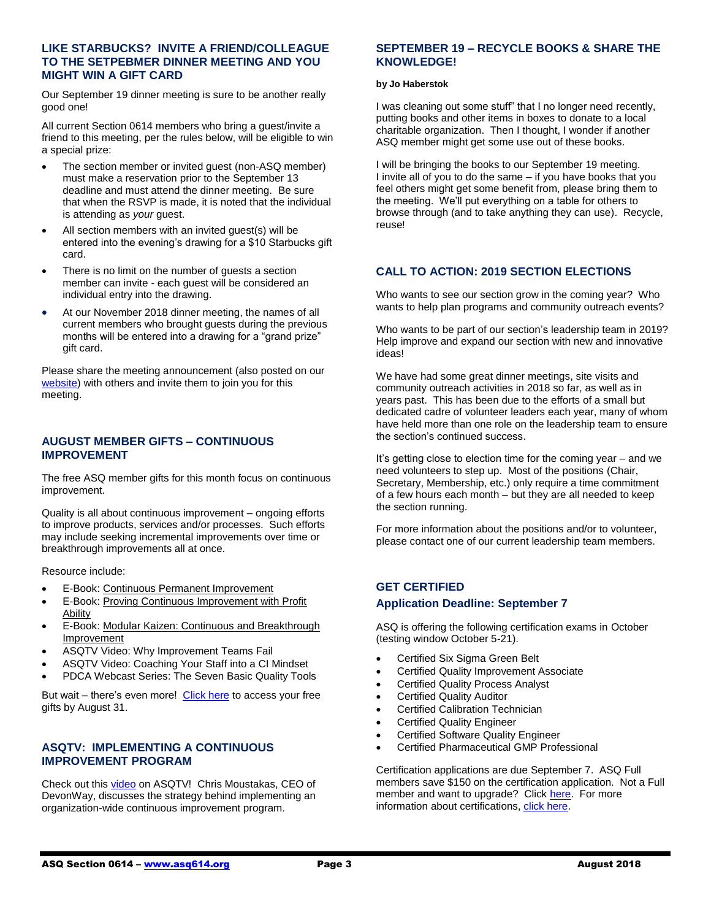#### **LIKE STARBUCKS? INVITE A FRIEND/COLLEAGUE TO THE SETPEBMER DINNER MEETING AND YOU MIGHT WIN A GIFT CARD**

Our September 19 dinner meeting is sure to be another really good one!

All current Section 0614 members who bring a guest/invite a friend to this meeting, per the rules below, will be eligible to win a special prize:

- The section member or invited guest (non-ASQ member) must make a reservation prior to the September 13 deadline and must attend the dinner meeting. Be sure that when the RSVP is made, it is noted that the individual is attending as *your* guest.
- All section members with an invited guest(s) will be entered into the evening's drawing for a \$10 Starbucks gift card.
- There is no limit on the number of guests a section member can invite - each guest will be considered an individual entry into the drawing.
- At our November 2018 dinner meeting, the names of all current members who brought guests during the previous months will be entered into a drawing for a "grand prize" gift card.

Please share the meeting announcement (also posted on our [website\)](http://www.asq614.org/programs/program1809.pdf) with others and invite them to join you for this meeting.

#### **AUGUST MEMBER GIFTS – CONTINUOUS IMPROVEMENT**

The free ASQ member gifts for this month focus on continuous improvement.

Quality is all about continuous improvement – ongoing efforts to improve products, services and/or processes. Such efforts may include seeking incremental improvements over time or breakthrough improvements all at once.

Resource include:

- E-Book[: Continuous Permanent Improvement](http://asq.org/membership/docs/asq-continuous-permanent-improvement-e1466.pdf)
- E-Book[: Proving Continuous Improvement with Profit](http://asq.org/membership/docs/asq-proving-ci-with-profit-ability-e1338.pdf)  [Ability](http://asq.org/membership/docs/asq-proving-ci-with-profit-ability-e1338.pdf)
- E-Book[: Modular Kaizen: Continuous](http://asq.org/membership/docs/e1456.pdf) and Breakthrough [Improvement](http://asq.org/membership/docs/e1456.pdf)
- ASQTV Video: Why Improvement Teams Fail
- ASQTV Video: Coaching Your Staff into a CI Mindset
- PDCA Webcast Series: The Seven Basic Quality Tools

But wait – there's even more! [Click here](https://secure.asq.org/perl/msg.pl?prvurl=http://asq.org/membership/members/gift/?utm_source=email) to access your free gifts by August 31.

### **ASQTV: IMPLEMENTING A CONTINUOUS IMPROVEMENT PROGRAM**

Check out thi[s video](http://videos.asq.org/implementing-a-continuous-improvement-program) on ASQTV! Chris Moustakas, CEO of DevonWay, discusses the strategy behind implementing an organization-wide continuous improvement program.

#### **SEPTEMBER 19 – RECYCLE BOOKS & SHARE THE KNOWLEDGE!**

#### **by Jo Haberstok**

I was cleaning out some stuff" that I no longer need recently, putting books and other items in boxes to donate to a local charitable organization. Then I thought, I wonder if another ASQ member might get some use out of these books.

I will be bringing the books to our September 19 meeting. I invite all of you to do the same – if you have books that you feel others might get some benefit from, please bring them to the meeting. We'll put everything on a table for others to browse through (and to take anything they can use). Recycle, reuse!

### **CALL TO ACTION: 2019 SECTION ELECTIONS**

Who wants to see our section grow in the coming year? Who wants to help plan programs and community outreach events?

Who wants to be part of our section's leadership team in 2019? Help improve and expand our section with new and innovative ideas!

We have had some great dinner meetings, site visits and community outreach activities in 2018 so far, as well as in years past. This has been due to the efforts of a small but dedicated cadre of volunteer leaders each year, many of whom have held more than one role on the leadership team to ensure the section's continued success.

It's getting close to election time for the coming year – and we need volunteers to step up. Most of the positions (Chair, Secretary, Membership, etc.) only require a time commitment of a few hours each month – but they are all needed to keep the section running.

For more information about the positions and/or to volunteer, please contact one of our current leadership team members.

#### **GET CERTIFIED**

#### **Application Deadline: September 7**

ASQ is offering the following certification exams in October (testing window October 5-21).

- Certified Six Sigma Green Belt
- Certified Quality Improvement Associate
- Certified Quality Process Analyst
- Certified Quality Auditor
- Certified Calibration Technician
- Certified Quality Engineer
- Certified Software Quality Engineer
- Certified Pharmaceutical GMP Professional

Certification applications are due September 7. ASQ Full members save \$150 on the certification application. Not a Full member and want to upgrade? Clic[k here.](https://asq.org/membership/become-a-member?utm_source=email&utm_medium=email&utm_campaign=certification_computerbased_07102018) For more information about certifications, [click here.](https://asq.org/cert)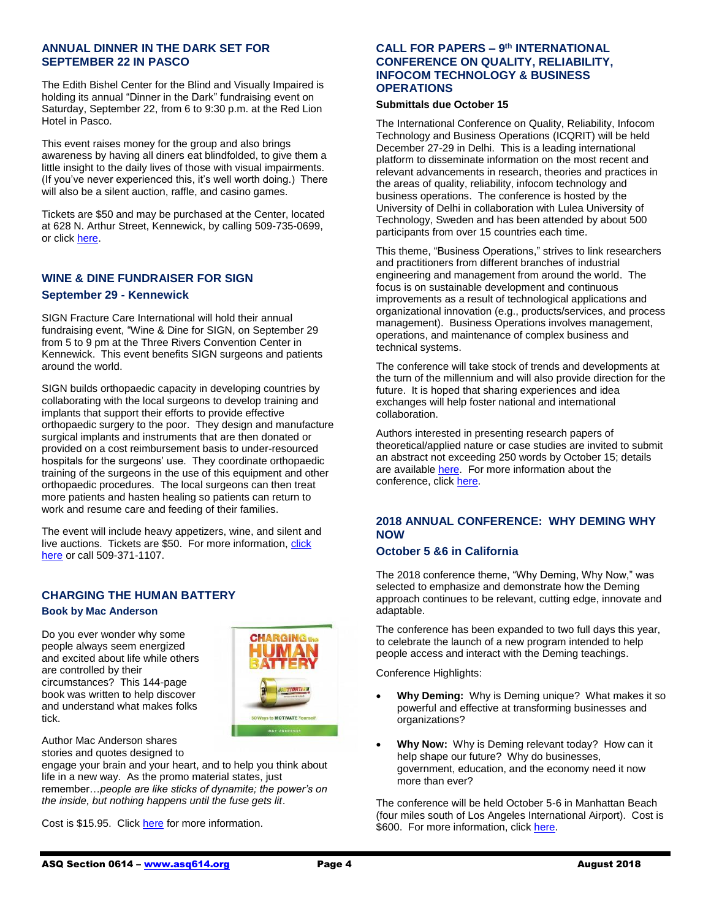#### **ANNUAL DINNER IN THE DARK SET FOR SEPTEMBER 22 IN PASCO**

The Edith Bishel Center for the Blind and Visually Impaired is holding its annual "Dinner in the Dark" fundraising event on Saturday, September 22, from 6 to 9:30 p.m. at the Red Lion Hotel in Pasco.

This event raises money for the group and also brings awareness by having all diners eat blindfolded, to give them a little insight to the daily lives of those with visual impairments. (If you've never experienced this, it's well worth doing.) There will also be a silent auction, raffle, and casino games.

Tickets are \$50 and may be purchased at the Center, located at 628 N. Arthur Street, Kennewick, by calling 509-735-0699, or clic[k here.](http://www.edithbishelcenter.org/)

# **WINE & DINE FUNDRAISER FOR SIGN September 29 - Kennewick**

SIGN Fracture Care International will hold their annual fundraising event, "Wine & Dine for SIGN, on September 29 from 5 to 9 pm at the Three Rivers Convention Center in Kennewick. This event benefits SIGN surgeons and patients around the world.

SIGN builds orthopaedic capacity in developing countries by collaborating with the local surgeons to develop training and implants that support their efforts to provide effective orthopaedic surgery to the poor. They design and manufacture surgical implants and instruments that are then donated or provided on a cost reimbursement basis to under-resourced hospitals for the surgeons' use. They coordinate orthopaedic training of the surgeons in the use of this equipment and other orthopaedic procedures. The local surgeons can then treat more patients and hasten healing so patients can return to work and resume care and feeding of their families.

The event will include heavy appetizers, wine, and silent and live auctions. Tickets are \$50. For more information[, click](https://signfracturecare.org/)  [here](https://signfracturecare.org/) or call 509-371-1107.

# **CHARGING THE HUMAN BATTERY**

#### **Book by Mac Anderson**

Do you ever wonder why some people always seem energized and excited about life while others are controlled by their circumstances? This 144-page book was written to help discover and understand what makes folks tick.



Author Mac Anderson shares stories and quotes designed to

engage your brain and your heart, and to help you think about life in a new way. As the promo material states, just remember…*people are like sticks of dynamite; the power's on the inside, but nothing happens until the fuse gets lit*.

Cost is \$15.95. Click [here](https://www.walkthetalk.com/charging-the-human-battery.html?utm_source=Walk+the+Talk+Master+List&utm_campaign=be6e2bbec3-EMAIL_CAMPAIGN_2017_28_17_COPY_01&utm_medium=email&utm_term=0_46fccdf186-be6e2bbec3-86469245&mc_cid=be6e2bbec3&mc_eid=dba56c85a9) for more information.

### **CALL FOR PAPERS – 9 th INTERNATIONAL CONFERENCE ON QUALITY, RELIABILITY, INFOCOM TECHNOLOGY & BUSINESS OPERATIONS**

#### **Submittals due October 15**

The International Conference on Quality, Reliability, Infocom Technology and Business Operations (ICQRIT) will be held December 27-29 in Delhi. This is a leading international platform to disseminate information on the most recent and relevant advancements in research, theories and practices in the areas of quality, reliability, infocom technology and business operations. The conference is hosted by the University of Delhi in collaboration with Lulea University of Technology, Sweden and has been attended by about 500 participants from over 15 countries each time.

This theme, "Business Operations," strives to link researchers and practitioners from different branches of industrial engineering and management from around the world. The focus is on sustainable development and continuous improvements as a result of technological applications and organizational innovation (e.g., products/services, and process management). Business Operations involves management, operations, and maintenance of complex business and technical systems.

The conference will take stock of trends and developments at the turn of the millennium and will also provide direction for the future. It is hoped that sharing experiences and idea exchanges will help foster national and international collaboration.

Authors interested in presenting research papers of theoretical/applied nature or case studies are invited to submit an abstract not exceeding 250 words by October 15; details are availabl[e here.](http://www.icqrit.com/call-for-papers.php) For more information about the conference, clic[k here.](http://www.icqrit.com/index.php)

### **2018 ANNUAL CONFERENCE: WHY DEMING WHY NOW**

#### **October 5 &6 in California**

The 2018 conference theme, "Why Deming, Why Now," was selected to emphasize and demonstrate how the Deming approach continues to be relevant, cutting edge, innovate and adaptable.

The conference has been expanded to two full days this year, to celebrate the launch of a new program intended to help people access and interact with the Deming teachings.

Conference Highlights:

- **Why Deming:** Why is Deming unique? What makes it so powerful and effective at transforming businesses and organizations?
- **Why Now:** Why is Deming relevant today? How can it help shape our future? Why do businesses, government, education, and the economy need it now more than ever?

The conference will be held October 5-6 in Manhattan Beach (four miles south of Los Angeles International Airport). Cost is \$600. For more information, click [here.](https://deming.org/events/7-2018-annual-conference-why-deming-why-now-2-days-october-2018)